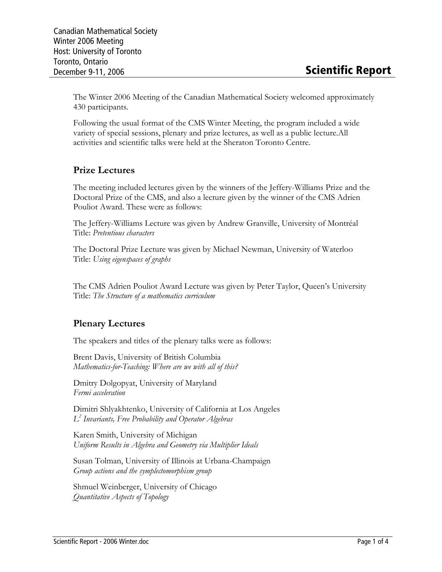The Winter 2006 Meeting of the Canadian Mathematical Society welcomed approximately 430 participants.

Following the usual format of the CMS Winter Meeting, the program included a wide variety of special sessions, plenary and prize lectures, as well as a public lecture.All activities and scientific talks were held at the Sheraton Toronto Centre.

## Prize Lectures

The meeting included lectures given by the winners of the Jeffery-Williams Prize and the Doctoral Prize of the CMS, and also a lecture given by the winner of the CMS Adrien Pouliot Award. These were as follows:

The Jeffery-Williams Lecture was given by Andrew Granville, University of Montréal Title: Pretentious characters

The Doctoral Prize Lecture was given by Michael Newman, University of Waterloo Title: Using eigenspaces of graphs

The CMS Adrien Pouliot Award Lecture was given by Peter Taylor, Queen's University Title: The Structure of a mathematics curriculum

#### Plenary Lectures

The speakers and titles of the plenary talks were as follows:

Brent Davis, University of British Columbia Mathematics-for-Teaching: Where are we with all of this?

Dmitry Dolgopyat, University of Maryland Fermi acceleration

Dimitri Shlyakhtenko, University of California at Los Angeles L 2 Invariants, Free Probability and Operator Algebras

Karen Smith, University of Michigan Uniform Results in Algebra and Geometry via Multiplier Ideals

Susan Tolman, University of Illinois at Urbana-Champaign Group actions and the symplectomorphism group

Shmuel Weinberger, University of Chicago Quantitative Aspects of Topology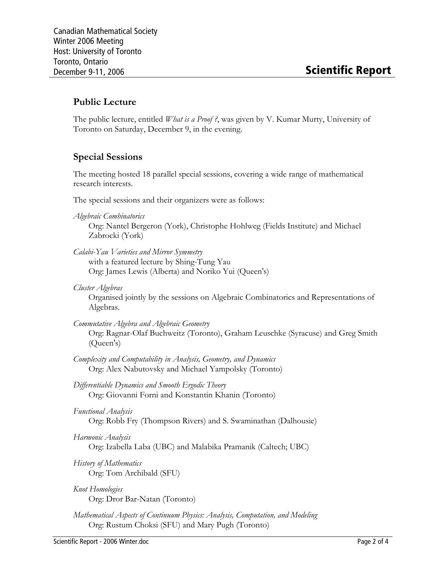### Public Lecture

The public lecture, entitled *What is a Proof ?*, was given by V. Kumar Murty, University of Toronto on Saturday, December 9, in the evening.

#### Special Sessions

The meeting hosted 18 parallel special sessions, covering a wide range of mathematical research interests.

The special sessions and their organizers were as follows:

Algebraic Combinatorics

Org: Nantel Bergeron (York), Christophe Hohlweg (Fields Institute) and Michael Zabrocki (York)

- Calabi-Yau Varieties and Mirror Symmetry with a featured lecture by Shing-Tung Yau Org: James Lewis (Alberta) and Noriko Yui (Queen's)
- Cluster Algebras

Organised jointly by the sessions on Algebraic Combinatorics and Representations of Algebras.

- Commutative Algebra and Algebraic Geometry Org: Ragnar-Olaf Buchweitz (Toronto), Graham Leuschke (Syracuse) and Greg Smith (Queen's)
- Complexity and Computability in Analysis, Geometry, and Dynamics Org: Alex Nabutovsky and Michael Yampolsky (Toronto)
- Differentiable Dynamics and Smooth Ergodic Theory Org: Giovanni Forni and Konstantin Khanin (Toronto)
- Functional Analysis

Org: Robb Fry (Thompson Rivers) and S. Swaminathan (Dalhousie)

Harmonic Analysis

Org: Izabella Laba (UBC) and Malabika Pramanik (Caltech; UBC)

- History of Mathematics Org: Tom Archibald (SFU)
- Knot Homologies Org: Dror Bar-Natan (Toronto)
- Mathematical Aspects of Continuum Physics: Analysis, Computation, and Modeling Org: Rustum Choksi (SFU) and Mary Pugh (Toronto)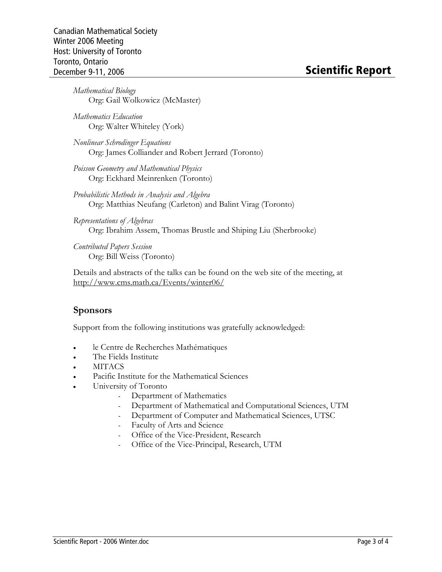Mathematical Biology Org: Gail Wolkowicz (McMaster)

Mathematics Education Org: Walter Whiteley (York)

Nonlinear Schrodinger Equations Org: James Colliander and Robert Jerrard (Toronto)

- Poisson Geometry and Mathematical Physics Org: Eckhard Meinrenken (Toronto)
- Probabilistic Methods in Analysis and Algebra Org: Matthias Neufang (Carleton) and Balint Virag (Toronto)

Representations of Algebras Org: Ibrahim Assem, Thomas Brustle and Shiping Liu (Sherbrooke)

Contributed Papers Session Org: Bill Weiss (Toronto)

Details and abstracts of the talks can be found on the web site of the meeting, at http://www.cms.math.ca/Events/winter06/

#### Sponsors

Support from the following institutions was gratefully acknowledged:

- le Centre de Recherches Mathématiques
- The Fields Institute
- MITACS
- Pacific Institute for the Mathematical Sciences
- University of Toronto
	- Department of Mathematics
	- Department of Mathematical and Computational Sciences, UTM
	- Department of Computer and Mathematical Sciences, UTSC
	- Faculty of Arts and Science
	- Office of the Vice-President, Research
	- Office of the Vice-Principal, Research, UTM